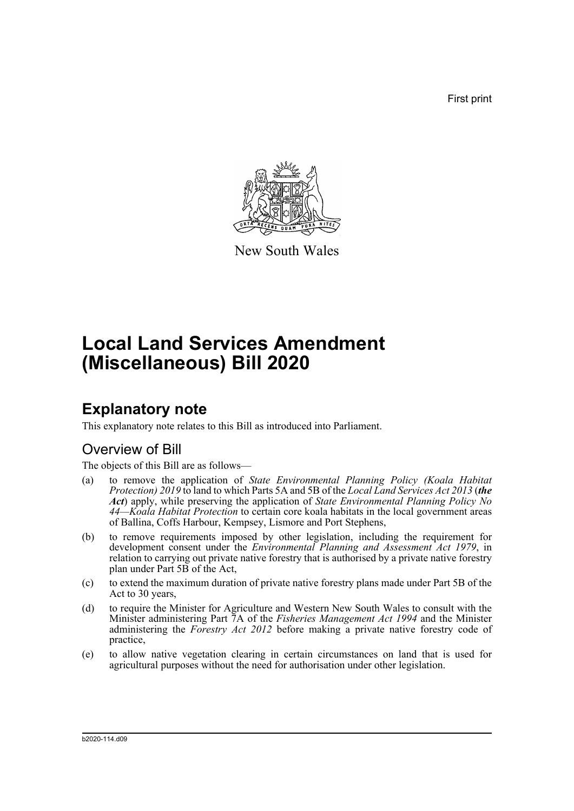First print



New South Wales

# **Local Land Services Amendment (Miscellaneous) Bill 2020**

## **Explanatory note**

This explanatory note relates to this Bill as introduced into Parliament.

### Overview of Bill

The objects of this Bill are as follows—

- (a) to remove the application of *State Environmental Planning Policy (Koala Habitat Protection) 2019* to land to which Parts 5A and 5B of the *Local Land Services Act 2013* (*the Act*) apply, while preserving the application of *State Environmental Planning Policy No 44—Koala Habitat Protection* to certain core koala habitats in the local government areas of Ballina, Coffs Harbour, Kempsey, Lismore and Port Stephens,
- (b) to remove requirements imposed by other legislation, including the requirement for development consent under the *Environmental Planning and Assessment Act 1979*, in relation to carrying out private native forestry that is authorised by a private native forestry plan under Part 5B of the Act,
- (c) to extend the maximum duration of private native forestry plans made under Part 5B of the Act to 30 years,
- (d) to require the Minister for Agriculture and Western New South Wales to consult with the Minister administering Part 7A of the *Fisheries Management Act 1994* and the Minister administering the *Forestry Act 2012* before making a private native forestry code of practice,
- (e) to allow native vegetation clearing in certain circumstances on land that is used for agricultural purposes without the need for authorisation under other legislation.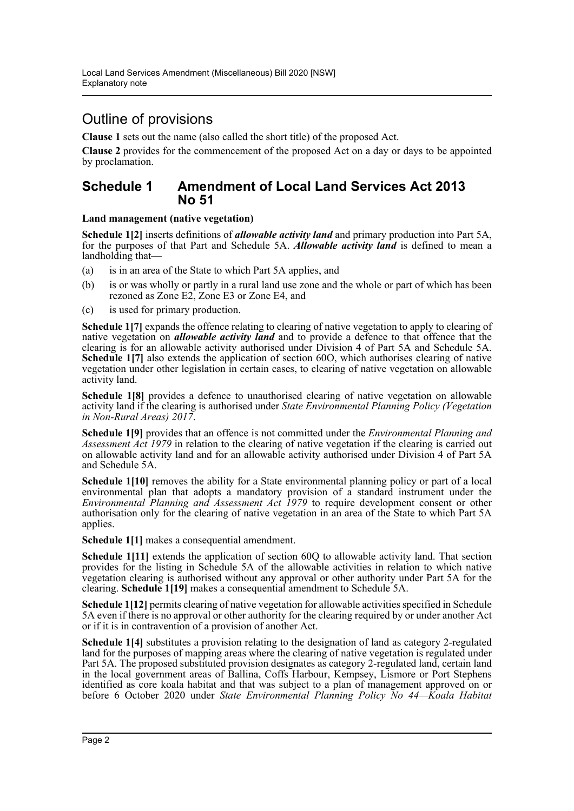### Outline of provisions

**Clause 1** sets out the name (also called the short title) of the proposed Act.

**Clause 2** provides for the commencement of the proposed Act on a day or days to be appointed by proclamation.

#### **Schedule 1 Amendment of Local Land Services Act 2013 No 51**

#### **Land management (native vegetation)**

**Schedule 1[2]** inserts definitions of *allowable activity land* and primary production into Part 5A, for the purposes of that Part and Schedule 5A. *Allowable activity land* is defined to mean a landholding that—

- (a) is in an area of the State to which Part 5A applies, and
- (b) is or was wholly or partly in a rural land use zone and the whole or part of which has been rezoned as Zone E2, Zone E3 or Zone E4, and
- (c) is used for primary production.

**Schedule 1[7]** expands the offence relating to clearing of native vegetation to apply to clearing of native vegetation on *allowable activity land* and to provide a defence to that offence that the clearing is for an allowable activity authorised under Division 4 of Part 5A and Schedule 5A. **Schedule 1[7]** also extends the application of section 60O, which authorises clearing of native vegetation under other legislation in certain cases, to clearing of native vegetation on allowable activity land.

**Schedule 1[8]** provides a defence to unauthorised clearing of native vegetation on allowable activity land if the clearing is authorised under *State Environmental Planning Policy (Vegetation in Non-Rural Areas) 2017*.

**Schedule 1[9]** provides that an offence is not committed under the *Environmental Planning and Assessment Act 1979* in relation to the clearing of native vegetation if the clearing is carried out on allowable activity land and for an allowable activity authorised under Division 4 of Part 5A and Schedule 5A.

**Schedule 1[10]** removes the ability for a State environmental planning policy or part of a local environmental plan that adopts a mandatory provision of a standard instrument under the *Environmental Planning and Assessment Act 1979* to require development consent or other authorisation only for the clearing of native vegetation in an area of the State to which Part 5A applies.

**Schedule 1[1]** makes a consequential amendment.

**Schedule 1[11]** extends the application of section 60Q to allowable activity land. That section provides for the listing in Schedule 5A of the allowable activities in relation to which native vegetation clearing is authorised without any approval or other authority under Part 5A for the clearing. **Schedule 1[19]** makes a consequential amendment to Schedule 5A.

**Schedule 1[12]** permits clearing of native vegetation for allowable activities specified in Schedule 5A even if there is no approval or other authority for the clearing required by or under another Act or if it is in contravention of a provision of another Act.

**Schedule 1<sup>[4]</sup>** substitutes a provision relating to the designation of land as category 2-regulated land for the purposes of mapping areas where the clearing of native vegetation is regulated under Part 5A. The proposed substituted provision designates as category 2-regulated land, certain land in the local government areas of Ballina, Coffs Harbour, Kempsey, Lismore or Port Stephens identified as core koala habitat and that was subject to a plan of management approved on or before 6 October 2020 under *State Environmental Planning Policy No 44—Koala Habitat*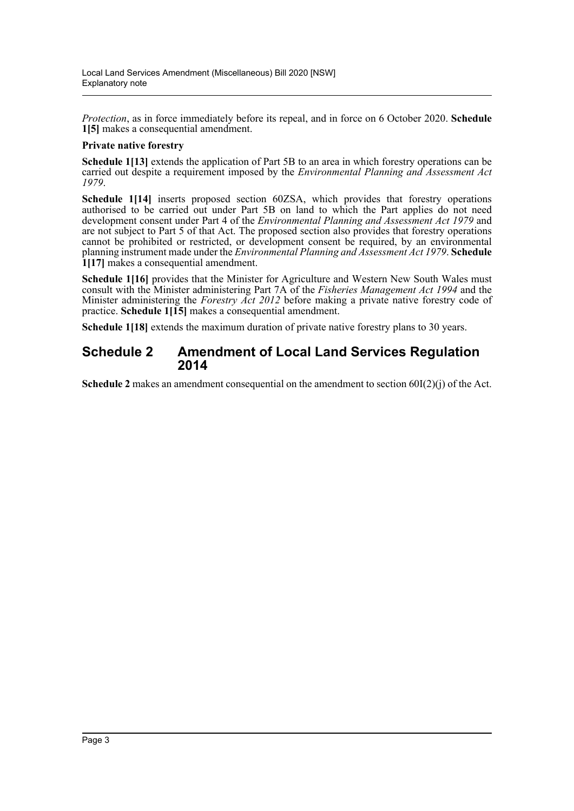*Protection*, as in force immediately before its repeal, and in force on 6 October 2020. **Schedule 1[5]** makes a consequential amendment.

#### **Private native forestry**

**Schedule 1[13]** extends the application of Part 5B to an area in which forestry operations can be carried out despite a requirement imposed by the *Environmental Planning and Assessment Act 1979*.

**Schedule 1[14]** inserts proposed section 60ZSA, which provides that forestry operations authorised to be carried out under Part 5B on land to which the Part applies do not need development consent under Part 4 of the *Environmental Planning and Assessment Act 1979* and are not subject to Part 5 of that Act. The proposed section also provides that forestry operations cannot be prohibited or restricted, or development consent be required, by an environmental planning instrument made under the *Environmental Planning and Assessment Act 1979*. **Schedule 1[17]** makes a consequential amendment.

**Schedule 1[16]** provides that the Minister for Agriculture and Western New South Wales must consult with the Minister administering Part 7A of the *Fisheries Management Act 1994* and the Minister administering the *Forestry Act 2012* before making a private native forestry code of practice. **Schedule 1[15]** makes a consequential amendment.

**Schedule 1[18]** extends the maximum duration of private native forestry plans to 30 years.

#### **Schedule 2 Amendment of Local Land Services Regulation 2014**

**Schedule 2** makes an amendment consequential on the amendment to section 60I(2)(j) of the Act.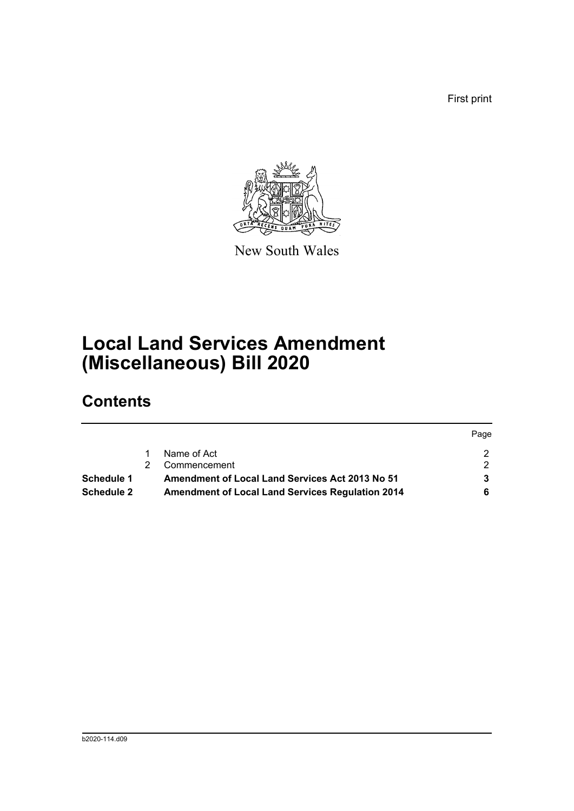First print



New South Wales

# **Local Land Services Amendment (Miscellaneous) Bill 2020**

## **Contents**

|                   |                                                         | Page |
|-------------------|---------------------------------------------------------|------|
|                   | Name of Act                                             |      |
|                   | Commencement                                            |      |
| Schedule 1        | Amendment of Local Land Services Act 2013 No 51         |      |
| <b>Schedule 2</b> | <b>Amendment of Local Land Services Regulation 2014</b> |      |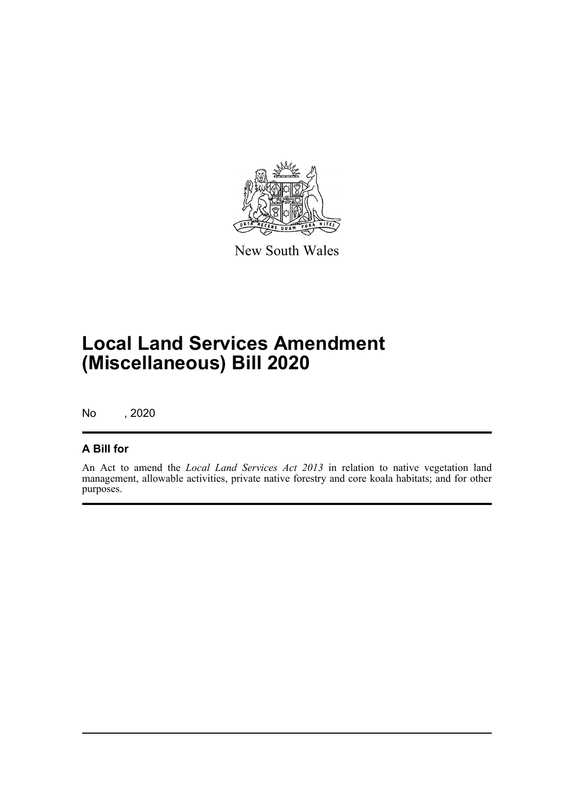

New South Wales

# **Local Land Services Amendment (Miscellaneous) Bill 2020**

No , 2020

#### **A Bill for**

An Act to amend the *Local Land Services Act 2013* in relation to native vegetation land management, allowable activities, private native forestry and core koala habitats; and for other purposes.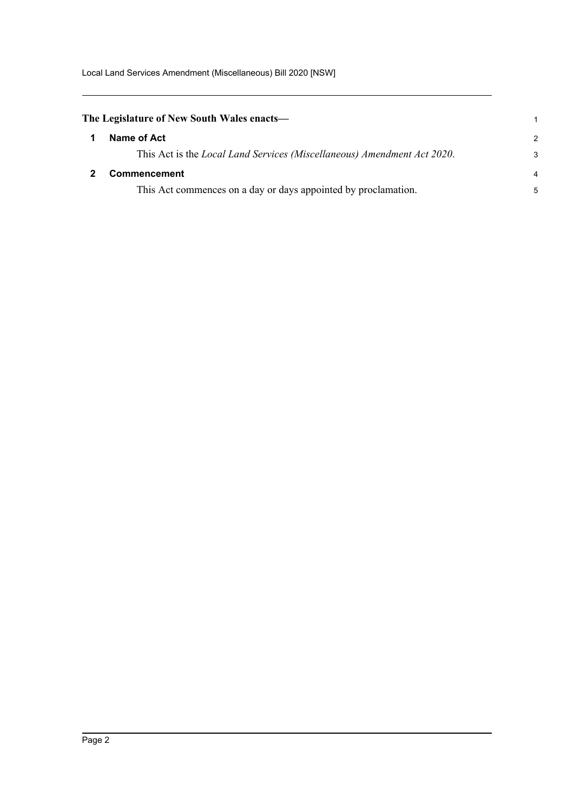Local Land Services Amendment (Miscellaneous) Bill 2020 [NSW]

<span id="page-5-1"></span><span id="page-5-0"></span>

| The Legislature of New South Wales enacts— |                                                                                 |                |
|--------------------------------------------|---------------------------------------------------------------------------------|----------------|
|                                            | Name of Act                                                                     | $\overline{2}$ |
|                                            | This Act is the <i>Local Land Services (Miscellaneous) Amendment Act 2020</i> . | 3              |
|                                            | <b>Commencement</b>                                                             | $\overline{4}$ |
|                                            | This Act commences on a day or days appointed by proclamation.                  | 5              |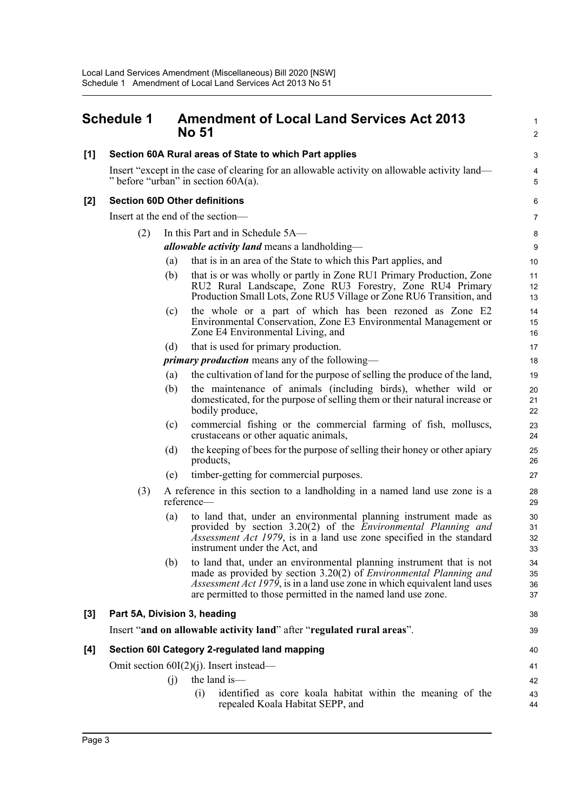<span id="page-6-0"></span>

|     | <b>Schedule 1</b>                    |                   | <b>Amendment of Local Land Services Act 2013</b><br>No 51                                                                                                                                                                                                                                            | $\mathbf{1}$<br>$\boldsymbol{2}$ |
|-----|--------------------------------------|-------------------|------------------------------------------------------------------------------------------------------------------------------------------------------------------------------------------------------------------------------------------------------------------------------------------------------|----------------------------------|
| [1] |                                      |                   | Section 60A Rural areas of State to which Part applies                                                                                                                                                                                                                                               | 3                                |
|     |                                      |                   | Insert "except in the case of clearing for an allowable activity on allowable activity land—<br>" before "urban" in section $60A(a)$ .                                                                                                                                                               | 4<br>5                           |
| [2] | <b>Section 60D Other definitions</b> |                   |                                                                                                                                                                                                                                                                                                      | 6                                |
|     |                                      |                   | Insert at the end of the section-                                                                                                                                                                                                                                                                    | $\overline{7}$                   |
|     | (2)                                  |                   | In this Part and in Schedule 5A-                                                                                                                                                                                                                                                                     | 8                                |
|     |                                      |                   | <i>allowable activity land</i> means a landholding—                                                                                                                                                                                                                                                  | 9                                |
|     |                                      | (a)               | that is in an area of the State to which this Part applies, and                                                                                                                                                                                                                                      | 10                               |
|     |                                      | (b)               | that is or was wholly or partly in Zone RU1 Primary Production, Zone<br>RU2 Rural Landscape, Zone RU3 Forestry, Zone RU4 Primary<br>Production Small Lots, Zone RU5 Village or Zone RU6 Transition, and                                                                                              | 11<br>12<br>13                   |
|     |                                      | (c)               | the whole or a part of which has been rezoned as Zone E2<br>Environmental Conservation, Zone E3 Environmental Management or<br>Zone E4 Environmental Living, and                                                                                                                                     | 14<br>15<br>16                   |
|     |                                      | (d)               | that is used for primary production.                                                                                                                                                                                                                                                                 | 17                               |
|     |                                      |                   | <i>primary production</i> means any of the following—                                                                                                                                                                                                                                                | 18                               |
|     |                                      | (a)               | the cultivation of land for the purpose of selling the produce of the land,                                                                                                                                                                                                                          | 19                               |
|     |                                      | (b)               | the maintenance of animals (including birds), whether wild or<br>domesticated, for the purpose of selling them or their natural increase or<br>bodily produce,                                                                                                                                       | 20<br>21<br>22                   |
|     |                                      | (c)               | commercial fishing or the commercial farming of fish, molluscs,<br>crustaceans or other aquatic animals,                                                                                                                                                                                             | 23<br>24                         |
|     |                                      | (d)               | the keeping of bees for the purpose of selling their honey or other apiary<br>products,                                                                                                                                                                                                              | 25<br>26                         |
|     |                                      | (e)               | timber-getting for commercial purposes.                                                                                                                                                                                                                                                              | 27                               |
|     | (3)                                  |                   | A reference in this section to a landholding in a named land use zone is a<br>reference-                                                                                                                                                                                                             | 28<br>29                         |
|     |                                      | $\left( a\right)$ | to land that, under an environmental planning instrument made as<br>provided by section 3.20(2) of the <i>Environmental Planning and</i><br><i>Assessment Act 1979</i> , is in a land use zone specified in the standard<br>instrument under the Act, and                                            | 30<br>31<br>32<br>33             |
|     |                                      | (b)               | to land that, under an environmental planning instrument that is not<br>made as provided by section 3.20(2) of <i>Environmental Planning and</i><br><i>Assessment Act 1979</i> , is in a land use zone in which equivalent land uses<br>are permitted to those permitted in the named land use zone. | 34<br>35<br>36<br>37             |
| [3] |                                      |                   | Part 5A, Division 3, heading                                                                                                                                                                                                                                                                         | 38                               |
|     |                                      |                   | Insert "and on allowable activity land" after "regulated rural areas".                                                                                                                                                                                                                               | 39                               |
| [4] |                                      |                   | Section 60I Category 2-regulated land mapping                                                                                                                                                                                                                                                        | 40                               |
|     |                                      |                   | Omit section $60I(2)(j)$ . Insert instead—                                                                                                                                                                                                                                                           | 41                               |
|     |                                      | (i)               | the land is-                                                                                                                                                                                                                                                                                         | 42                               |
|     |                                      |                   | identified as core koala habitat within the meaning of the<br>(i)<br>repealed Koala Habitat SEPP, and                                                                                                                                                                                                | 43<br>44                         |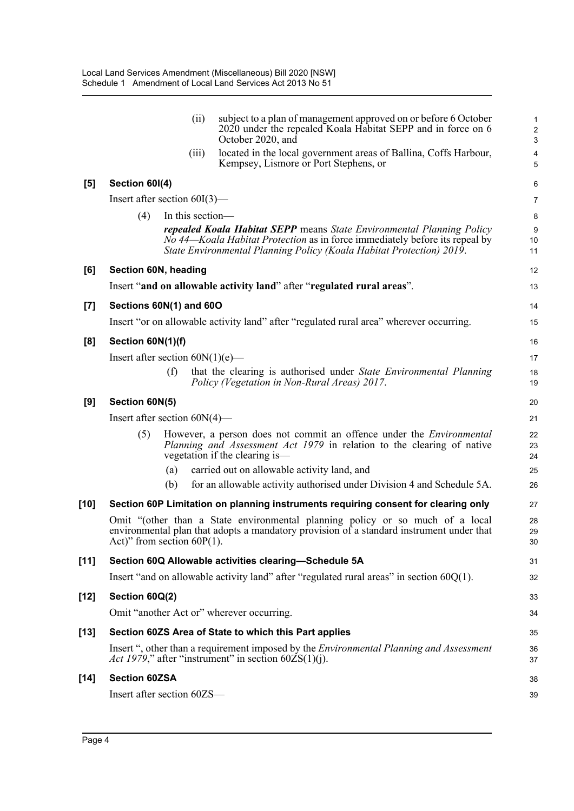|        | (ii)                                      | subject to a plan of management approved on or before 6 October<br>2020 under the repealed Koala Habitat SEPP and in force on 6<br>October 2020, and                                                                         | $\mathbf 1$<br>$\sqrt{2}$<br>3 |
|--------|-------------------------------------------|------------------------------------------------------------------------------------------------------------------------------------------------------------------------------------------------------------------------------|--------------------------------|
|        | (iii)                                     | located in the local government areas of Ballina, Coffs Harbour,<br>Kempsey, Lismore or Port Stephens, or                                                                                                                    | $\overline{\mathbf{4}}$<br>5   |
| [5]    | Section 601(4)                            |                                                                                                                                                                                                                              | 6                              |
|        | Insert after section $60I(3)$ —           |                                                                                                                                                                                                                              | $\overline{7}$                 |
|        | In this section-<br>(4)                   |                                                                                                                                                                                                                              | $\bf 8$                        |
|        |                                           | repealed Koala Habitat SEPP means State Environmental Planning Policy<br>No 44—Koala Habitat Protection as in force immediately before its repeal by<br>State Environmental Planning Policy (Koala Habitat Protection) 2019. | 9<br>10<br>11                  |
| [6]    | Section 60N, heading                      |                                                                                                                                                                                                                              | 12                             |
|        |                                           | Insert "and on allowable activity land" after "regulated rural areas".                                                                                                                                                       | 13                             |
| $[7]$  | Sections 60N(1) and 60O                   |                                                                                                                                                                                                                              | 14                             |
|        |                                           | Insert "or on allowable activity land" after "regulated rural area" wherever occurring.                                                                                                                                      | 15                             |
| [8]    | Section 60N(1)(f)                         |                                                                                                                                                                                                                              | 16                             |
|        | Insert after section $60N(1)(e)$ —        |                                                                                                                                                                                                                              | 17                             |
|        | (f)                                       | that the clearing is authorised under State Environmental Planning<br>Policy (Vegetation in Non-Rural Areas) 2017.                                                                                                           | 18<br>19                       |
| [9]    | Section 60N(5)                            |                                                                                                                                                                                                                              | 20                             |
|        | Insert after section $60N(4)$ —           |                                                                                                                                                                                                                              | 21                             |
|        | (5)                                       | However, a person does not commit an offence under the <i>Environmental</i><br>Planning and Assessment Act 1979 in relation to the clearing of native<br>vegetation if the clearing is—                                      | 22<br>23<br>24                 |
|        | (a)                                       | carried out on allowable activity land, and                                                                                                                                                                                  | 25                             |
|        | (b)                                       | for an allowable activity authorised under Division 4 and Schedule 5A.                                                                                                                                                       | 26                             |
| $[10]$ |                                           | Section 60P Limitation on planning instruments requiring consent for clearing only                                                                                                                                           | 27                             |
|        | Act)" from section $60P(1)$ .             | Omit "(other than a State environmental planning policy or so much of a local<br>environmental plan that adopts a mandatory provision of a standard instrument under that                                                    | 28<br>29<br>30                 |
| $[11]$ |                                           | Section 60Q Allowable activities clearing-Schedule 5A                                                                                                                                                                        | 31                             |
|        |                                           | Insert "and on allowable activity land" after "regulated rural areas" in section $60Q(1)$ .                                                                                                                                  | 32                             |
| $[12]$ | Section 60Q(2)                            |                                                                                                                                                                                                                              | 33                             |
|        | Omit "another Act or" wherever occurring. |                                                                                                                                                                                                                              | 34                             |
| $[13]$ |                                           | Section 60ZS Area of State to which this Part applies                                                                                                                                                                        | 35                             |
|        |                                           | Insert ", other than a requirement imposed by the <i>Environmental Planning and Assessment</i><br>Act 1979," after "instrument" in section $60ZS(1)(j)$ .                                                                    | 36<br>37                       |
| $[14]$ | <b>Section 60ZSA</b>                      |                                                                                                                                                                                                                              | 38                             |
|        | Insert after section 60ZS-                |                                                                                                                                                                                                                              | 39                             |
|        |                                           |                                                                                                                                                                                                                              |                                |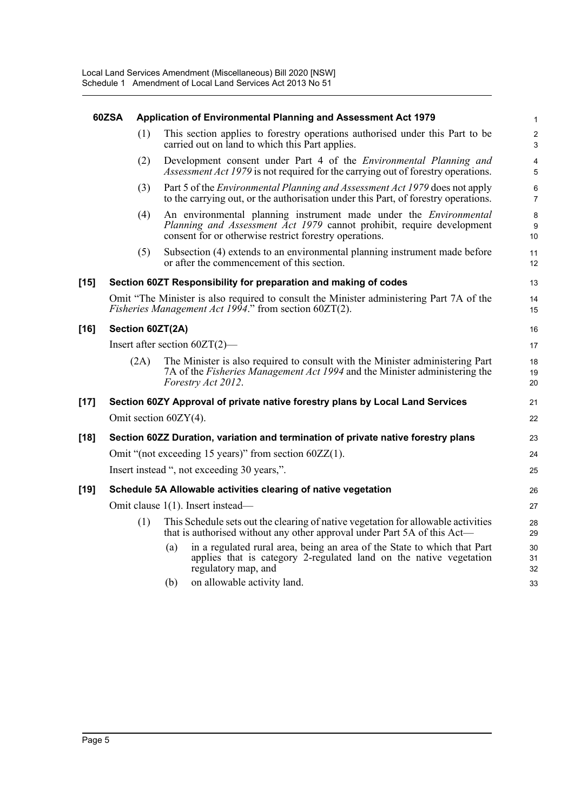|        | 60ZSA                                                                                                                                                     |      | Application of Environmental Planning and Assessment Act 1979                                                                                                                                        | $\mathbf{1}$        |
|--------|-----------------------------------------------------------------------------------------------------------------------------------------------------------|------|------------------------------------------------------------------------------------------------------------------------------------------------------------------------------------------------------|---------------------|
|        |                                                                                                                                                           | (1)  | This section applies to forestry operations authorised under this Part to be<br>carried out on land to which this Part applies.                                                                      | $\overline{2}$<br>3 |
|        |                                                                                                                                                           | (2)  | Development consent under Part 4 of the <i>Environmental Planning and</i><br>Assessment Act 1979 is not required for the carrying out of forestry operations.                                        | 4<br>5              |
|        |                                                                                                                                                           | (3)  | Part 5 of the Environmental Planning and Assessment Act 1979 does not apply<br>to the carrying out, or the authorisation under this Part, of forestry operations.                                    | 6<br>$\overline{7}$ |
|        |                                                                                                                                                           | (4)  | An environmental planning instrument made under the Environmental<br>Planning and Assessment Act 1979 cannot prohibit, require development<br>consent for or otherwise restrict forestry operations. | 8<br>9<br>10        |
|        |                                                                                                                                                           | (5)  | Subsection (4) extends to an environmental planning instrument made before<br>or after the commencement of this section.                                                                             | 11<br>12            |
| $[15]$ |                                                                                                                                                           |      | Section 60ZT Responsibility for preparation and making of codes                                                                                                                                      | 13                  |
|        | Omit "The Minister is also required to consult the Minister administering Part 7A of the<br><i>Fisheries Management Act 1994.</i> " from section 60ZT(2). |      |                                                                                                                                                                                                      | 14<br>15            |
| $[16]$ |                                                                                                                                                           |      | Section 60ZT(2A)                                                                                                                                                                                     | 16                  |
|        |                                                                                                                                                           |      | Insert after section $60ZT(2)$ —                                                                                                                                                                     | 17                  |
|        |                                                                                                                                                           | (2A) | The Minister is also required to consult with the Minister administering Part<br>7A of the Fisheries Management Act 1994 and the Minister administering the<br>Forestry Act 2012.                    | 18<br>19<br>20      |
| $[17]$ |                                                                                                                                                           |      | Section 60ZY Approval of private native forestry plans by Local Land Services                                                                                                                        | 21                  |
|        |                                                                                                                                                           |      | Omit section $60ZY(4)$ .                                                                                                                                                                             | 22                  |
| [18]   |                                                                                                                                                           |      | Section 60ZZ Duration, variation and termination of private native forestry plans                                                                                                                    | 23                  |
|        |                                                                                                                                                           |      | Omit "(not exceeding 15 years)" from section $60ZZ(1)$ .                                                                                                                                             | 24                  |
|        |                                                                                                                                                           |      | Insert instead ", not exceeding 30 years,".                                                                                                                                                          | 25                  |
| [19]   |                                                                                                                                                           |      | Schedule 5A Allowable activities clearing of native vegetation                                                                                                                                       | 26                  |
|        |                                                                                                                                                           |      | Omit clause 1(1). Insert instead—                                                                                                                                                                    | 27                  |
|        |                                                                                                                                                           | (1)  | This Schedule sets out the clearing of native vegetation for allowable activities<br>that is authorised without any other approval under Part 5A of this Act—                                        | 28<br>29            |
|        |                                                                                                                                                           |      | in a regulated rural area, being an area of the State to which that Part<br>(a)<br>applies that is category 2-regulated land on the native vegetation<br>regulatory map, and                         | 30<br>31<br>32      |
|        |                                                                                                                                                           |      | on allowable activity land.<br>(b)                                                                                                                                                                   | 33                  |